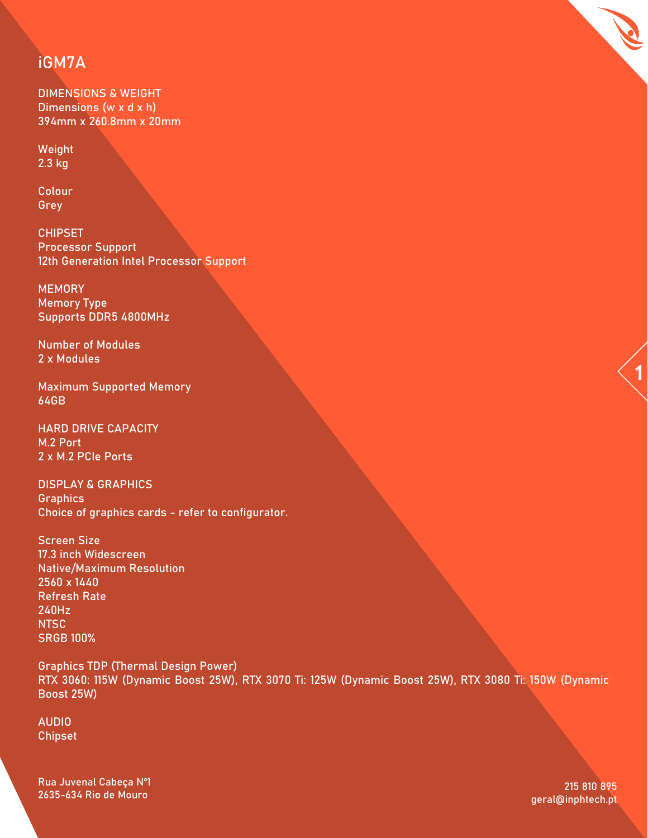# **iGM7A**

DIMENSIONS & WEIGHT Dimensions (w x d x h) 394mm x 260.8mm x 20mm

Weight  $2.3$  kg

Colour Grey

CHIPSET Processor Support 12th Generation Intel Processor Support

**MEMORY** Memory Type Supports DDR5 4800MHz

Number of Modules 2 x Modules

Maximum Supported Memory 64GB

HARD DRIVE CAPACITY M.2 Port 2 x M.2 PCIe Ports

DISPLAY & GRAPHICS **Graphics** Choice of graphics cards - refer to configurator.

Screen Size 17.3 inch Widescreen Native/Maximum Resolution 2560 x 1440 Refresh Rate 240Hz NTSC SRGB 100%

Graphics TDP (Thermal Design Power) RTX 3060: 115W (Dynamic Boost 25W), RTX 3070 Ti: 125W (Dynamic Boost 25W), RTX 3080 Ti: 150W (Dynamic Boost 25W)

AUDIO Chipset

Rua Juvenal Cabeça Nº1 2635-634 Rio de Mouro

215 810 895 geral@inphtech.pt **1**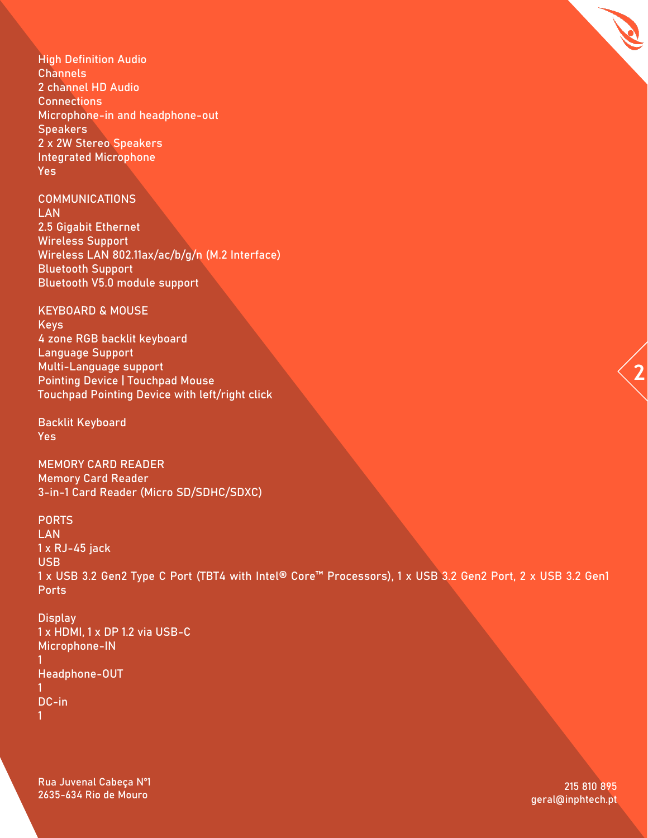High Definition Audio Channels 2 channel HD Audio **Connections** Microphone-in and headphone-out **Speakers** 2 x 2W Stereo Speakers Integrated Microphone Yes

COMMUNICATIONS

LAN 2.5 Gigabit Ethernet Wireless Support Wireless LAN 802.11ax/ac/b/g/n (M.2 Interface) Bluetooth Support Bluetooth V5.0 module support

KEYBOARD & MOUSE

Keys 4 zone RGB backlit keyboard Language Support Multi-Language support Pointing Device | Touchpad Mouse Touchpad Pointing Device with left/right click

Backlit Keyboard Yes

MEMORY CARD READER Memory Card Reader 3-in-1 Card Reader (Micro SD/SDHC/SDXC)

PORTS **LAN** 1 x RJ-45 jack USB 1 x USB 3.2 Gen2 Type C Port (TBT4 with Intel® Core™ Processors), 1 x USB 3.2 Gen2 Port, 2 x USB 3.2 Gen1 Ports

**Display** 1 x HDMI, 1 x DP 1.2 via USB-C Microphone-IN 1 Headphone-OUT 1 DC-in 1

Rua Juvenal Cabeça Nº1 2635-634 Rio de Mouro

215 810 895 geral@inphtech.pt **2**